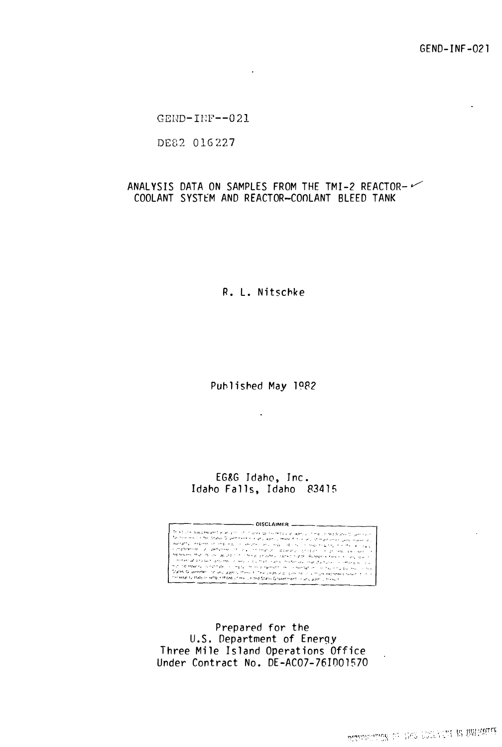GEND-INF-021

 $GEND-IRF--021$ 

DE82 016227

# ANALYSIS DATA ON SAMPLES FROM THE TMI-2 REACTOR-COOLANT SYSTEM AND REACTOR-COOLANT BLEED TANK

 $\epsilon$ 

R. L. Nitschke

Published May 1982

 $\bullet$ 

EG&G Idaho, Inc. Idaho Falls, Idaho 83415

 $-$  DISCLAIMER  $-$ This turn was treated with an internal DISCLAIMER () . The process of the process of the process of the process of the state of the state of the state of the state of the state of the state of the state of the state of th

Prepared for the U.S. Department of Energy Three Mile Island Operations Office Under Contract No. DE-AC07-761001570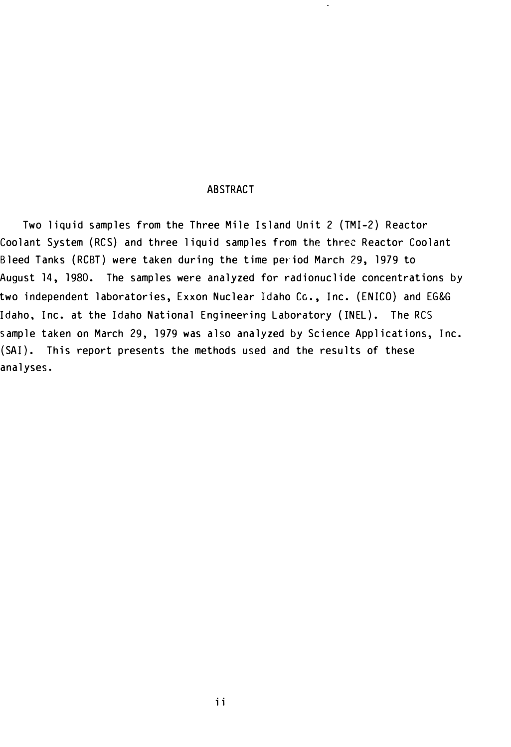## ABSTRACT

Two liquid samples from the Three Mile Island Unit 2 (TMI-2) Reactor Coolant System (RCS) and three liquid samples from the three Reactor Coolant Bleed Tanks (RCBT) were taken during the time period March 29, 1979 to August 14, 1980. The samples were analyzed for radionuclide concentrations by two independent laboratories, Exxon Nuclear Idaho Cc., Inc. (ENICO) and EG&G Idaho, Inc. at the Idaho National Engineering Laboratory (INEL). The RCS sample taken on March 29, 1979 was also analyzed by Science Applications, Inc. (SAI). This report presents the methods used and the results of these ana lyses.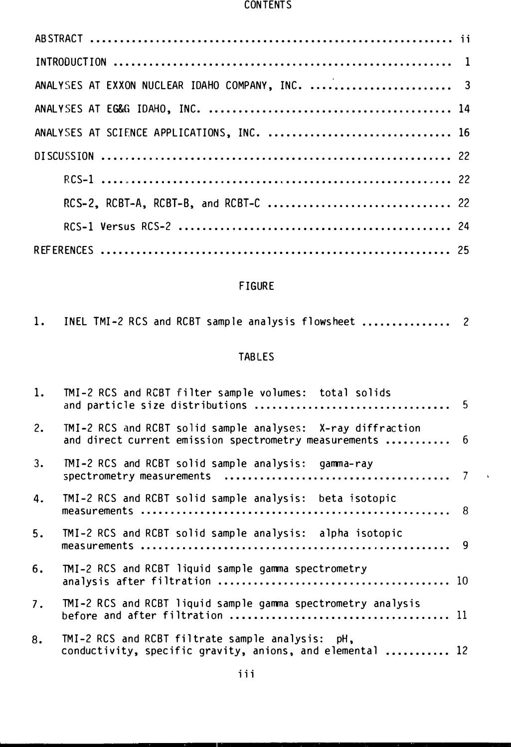#### CONTENTS

| ANALYSES AT EXXON NUCLEAR IDAHO COMPANY, INC.  3 |  |
|--------------------------------------------------|--|
|                                                  |  |
| ANALYSES AT SCIENCE APPLICATIONS, INC.  16       |  |
|                                                  |  |
|                                                  |  |
|                                                  |  |
|                                                  |  |
|                                                  |  |

# FIGURE

| 1. |  |  |  |  |  |  |  | INEL TMI-2 RCS and RCBT sample analysis flowsheet  2 |  |
|----|--|--|--|--|--|--|--|------------------------------------------------------|--|
|----|--|--|--|--|--|--|--|------------------------------------------------------|--|

# TABLES

| 1. | TMI-2 RCS and RCBT filter sample volumes: total solids                                                                  |  |
|----|-------------------------------------------------------------------------------------------------------------------------|--|
| 2. | TMI-2 RCS and RCBT solid sample analyses: X-ray diffraction<br>and direct current emission spectrometry measurements  6 |  |
| 3. | TMI-2 RCS and RCBT solid sample analysis: gamma-ray                                                                     |  |
| 4. | TMI-2 RCS and RCBT solid sample analysis: beta isotopic                                                                 |  |
| 5. | TMI-2 RCS and RCBT solid sample analysis: alpha isotopic                                                                |  |
| 6. | TMI-2 RCS and RCBT liquid sample gamma spectrometry                                                                     |  |
| 7. | TMI-2 RCS and RCBT liquid sample gamma spectrometry analysis                                                            |  |
| 8. | TMI-2 RCS and RCBT filtrate sample analysis: pH,<br>conductivity, specific gravity, anions, and elemental  12           |  |

 $\hat{\mathbf{v}}$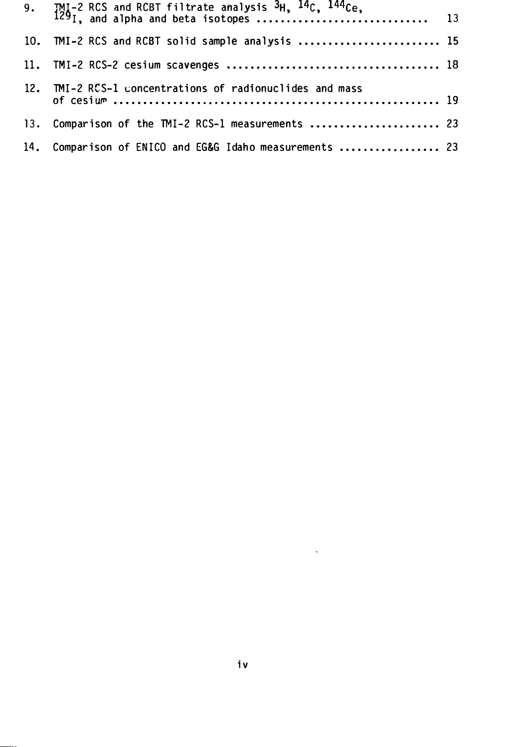| 10. TMI-2 RCS and RCBT solid sample analysis  15         |  |
|----------------------------------------------------------|--|
|                                                          |  |
| 12. TMI-2 RCS-1 concentrations of radionuclides and mass |  |
| 13. Comparison of the TMI-2 RCS-1 measurements  23       |  |
| 14. Comparison of ENICO and EG&G Idaho measurements  23  |  |

 $\mathcal{L}(\mathcal{A})$  and  $\mathcal{L}(\mathcal{A})$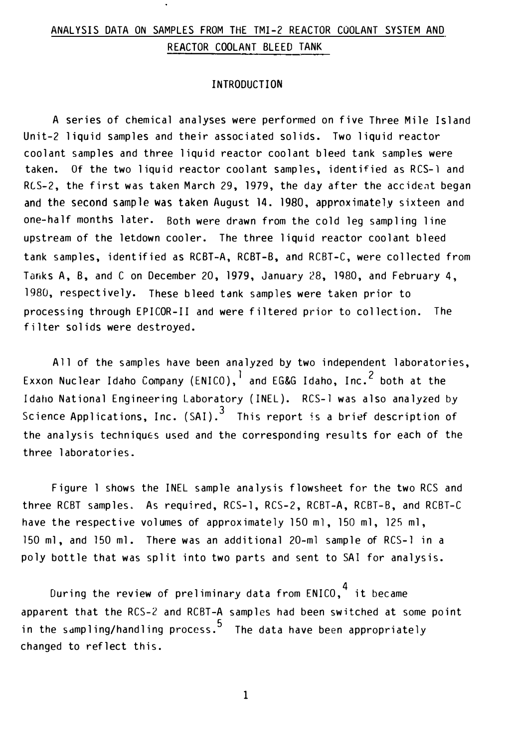# ANALYSIS DATA ON SAMPLES FROM THE TMI-2 REACTOR COOLANT SYSTEM AND REACTOR COOLANT BLEED TANK

## INTRODUCTION

A series of chemical analyses were performed on five Three Mile Island Unit-2 liquid samples and their associated solids. Two liquid reactor coo lant samp les and three liquid reactor coo lant b leed tank samp les were taken. Of the two liquid reactor coolant samples, identified as RCS-1 and RCS-2, the first was taken March 29, 1979, the day after the accident began and the second sample was taken August 14. 1980, approximately sixteen and one-half months later. Both were drawn from the cold leg sampling line upstream of the letdown cooler. The three liquid reactor coolant bleed tank samples, identified as RCBT-A, RCBT-B, and RCBT-C, were collected from Tanks A, B, and C on December 20, 1979, January 28, 1980, and February 4, 1980, respectively. These bleed tank samples were taken prior to processing through EPICOR-II and were filtered prior to collection. The filter solids were destroyed.

All of the samples have been analyzed by two independent laboratories, Exxon Nuclear Idaho Company (ENICO),  $^1$  and EG&G Idaho, Inc.<sup>2</sup> both at the Idaho National Engineering Laboratory (INEL). RCS-1 was also analyzed by Science Applications, Inc. (SAI).<sup>3</sup> This report is a brief description of the analysis techniques used and the corresponding results for each of the three laboratories.

Figure 1 shows the INEL sample analysis flowsheet for the two RCS and three RCBT samp les. As required, RCS-1, RCS-2, RCBT-A, RCBT-B, and RCBT-C have the respective volumes of approximately 150 ml, 150 ml, 125 ml, 150 ml, and 150 ml. There was an additional 20-ml sample of RCS-1 in a poly bottle that was split into two parts and sent to SAI for analysis.

During the review of preliminary data from  $ENICO.<sup>4</sup>$  it became apparent that the RCS-2 and RCBT-A samples had been switched at some point in the sampling/handling process.<sup>5</sup> The data have been appropriately changed to ref lect this.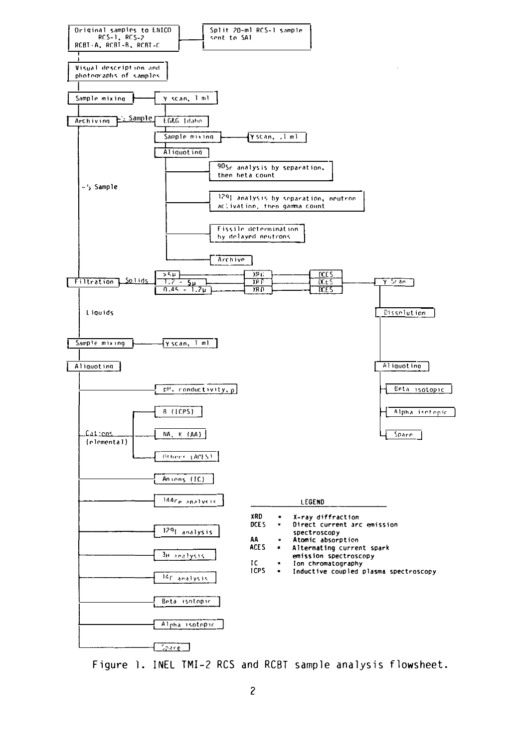

Figure 1. INEL TMI-2 RCS and RCBT sample analysis flowsheet.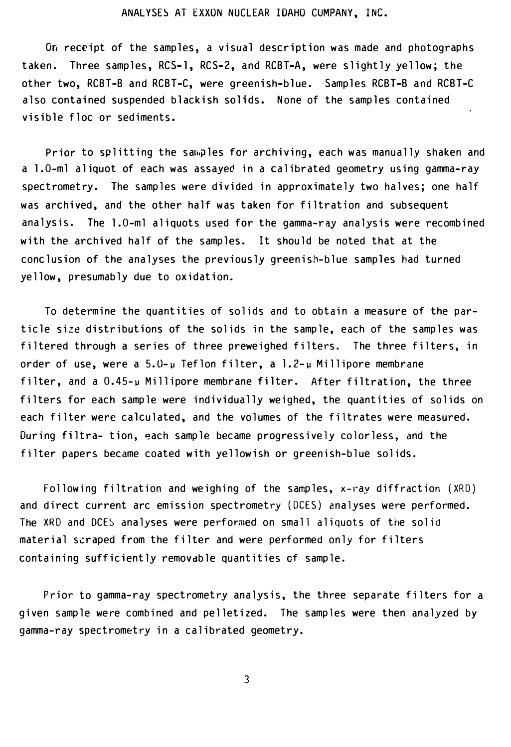#### ANALYSES AT EXXON NUCLEAR IDAHO CUMPANY, INC.

On receipt of the samples, a visual description was made and photographs taken. Three samples, RCS-1, RCS-2, and RCBT-A, were slightly yellow; the other two, RCBT-B and RCBT-C, were greenish-blue. Samples RCBT-B and RCBT-C also contained suspended blackish solids. None of the samples contained visible floc or sediments.

Prior to splitting the samples for archiving, each was manually shaken and a 1.0-ml aliquot of each was assayec in a calibrated geometry using gamma-ray spectrometry. The samples were divided in approximately two halves; one half was archived, and the other half was taken for filtration and subsequent analysis. The 1.0-ml aliquots used for the gamma-ray analysis were recombined with the archived half of the samples. It should be noted that at the conclusion of the analyses the previously greenish-blue samples had turned yellow, presumably due to oxidation.

To determine the quantities of solids and to obtain a measure of the particle size distributions of the solids in the sample, each of the samples was filtered through a series of three preweighed filters. The three filters, in order of use, were a  $5.0 - \mu$  Teflon filter, a  $1.2 - \mu$  Millipore membrane filter, and a 0.45-u Millipore membrane filter. After filtration, the three filters for each sample were individually weighed, the quantities of solids on each filter were calculated, and the volumes of the filtrates were measured. During filtra- tion, �ach sample became progressively colorless, and the filter papers became coated with yellowish or greenish-blue solids.

Following filtration and weighing of the samples, x-ray diffraction (XRD) and direct current arc emission spectrometry (DCES) analyses were performed. The XRD and DCES analyses were performed on small aliquots of the solid material scraped from the filter and were performed only for filters containing sufficiently removdble quantities of sample.

Prior to gamma-ray spectrometry analysis, the three separate filters for a given sample were combined and pelletized. The samples were then analyzed by gamma-ray spectrometry in a calibrated geometry.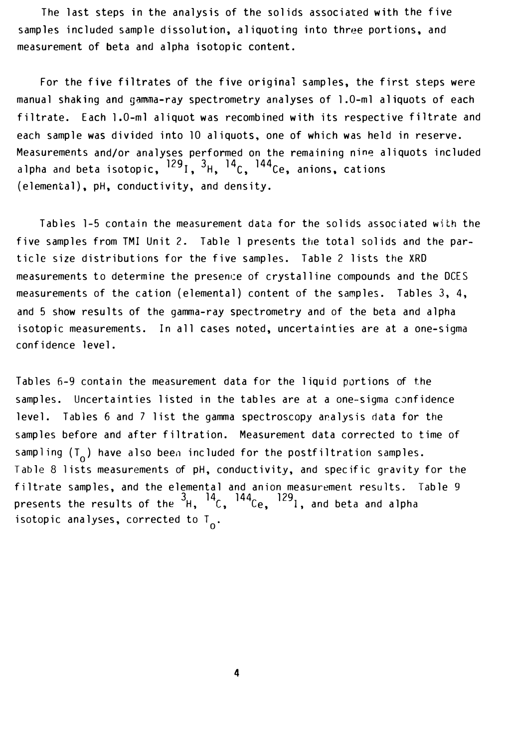The last steps in the analysis of the solids associated with the five samples included sample dissolution, aliquoting into three portions, and measurement of beta and alpha isotopic content.

For the five filtrates of the five original samples, the first steps were manual shaking and gamma-ray spectrometry analyses of 1.0-ml aliquots of each filtrate. Each 1.0-ml aliquot was recombined with its respective filtrate and each sample was divided into 10 aliquots, one of which was held in reserve. Measurements and/or analyses performed on the remaining nine aliquots included alpha and beta isotopic,  $^{129}$ I,  $^{3}$ H,  $^{14}$ C,  $^{144}$ Ce, anions, cations (e lemental), pH, conductivity, and density.

Tables 1-5 contain the measurement data for the solids associated with the five samples from TMI Unit 2. Table 1 presents the total solids and the particle size distributions for the five samples. Table 2 lists the XRD measurements to determine the presence of crystalline compounds and the DCES measurements of the cation (elemental) content of the samples. Tables 3, 4, and 5 show results of the gamma-ray spectrometry and of the beta and alpha isotopic measurements. In all cases noted, uncertainties are at a one-sigma confidence level.

Tables 6-9 contain the measurement data for the liquid portions of the samples. Uncertainties listed in the tables are at a one-sigma confidence level. Tables 6 and 7 list the gamma spectroscopy analysis data for the samples before and after filtration. Measurement data corrected to time of sampling  $(T_0)$  have also been included for the postfiltration samples. Tab le 8 lists measurements of pH, conductivity, and specific gravity for the filtrate samples, and the elemental and anion measurement results. Table 9 presents the results of the  $^3$ H,  $^{14}$ C,  $^{144}$ Ce,  $^{129}$ l, and beta and alpha isotopic analyses, corrected to  $T_{0}$ .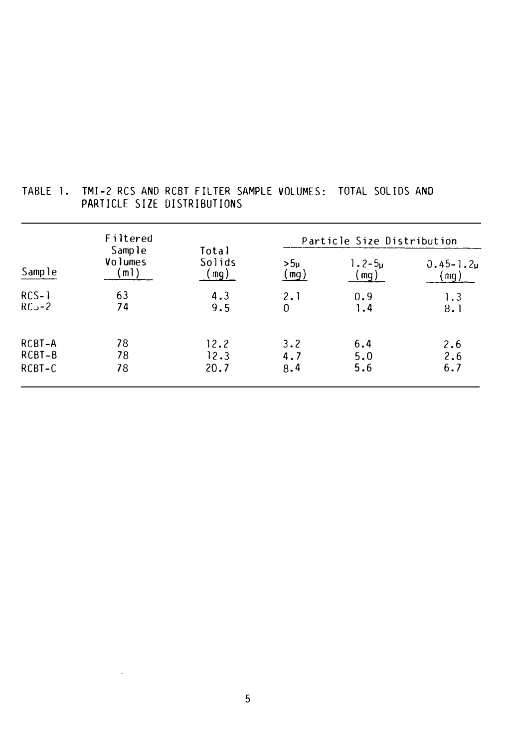|          | Filtered<br>Sample |                           | Particle Size Distribution |                    |                                         |  |  |  |  |
|----------|--------------------|---------------------------|----------------------------|--------------------|-----------------------------------------|--|--|--|--|
| Sample   | Volumes<br>(m1)    | Total<br>Solids<br>( mg ) | >5ս<br>(mg)                | $1.2 - 5u$<br>(mg) | $0.45 - 1.2\mu$<br>$\lfloor mg \rfloor$ |  |  |  |  |
| $RCS-1$  | 63                 | 4.3                       | 2.1                        | 0.9                | 1.3                                     |  |  |  |  |
| $RC - 2$ | 74                 | 9.5                       | 0                          | 1.4                | 8.1                                     |  |  |  |  |
| RCBT-A   | 78                 | 12.2                      | 3.2                        | 6.4                | 2.6                                     |  |  |  |  |
| RCBT-B   | 78                 | 12.3                      | 4.7                        | 5.0                | 2.6                                     |  |  |  |  |
| RCBT-C   | 78                 | 20.7                      | 8.4                        | 5.6                | 6.7                                     |  |  |  |  |

# TABLE 1. TMI-2 RCS AND RCBT FILTER SAMPLE VOLUMES: TOTAL SOLIDS AND PARTICLE SIZE DISTRIBUTIONS

 $\mathcal{A}^{\mathcal{A}}$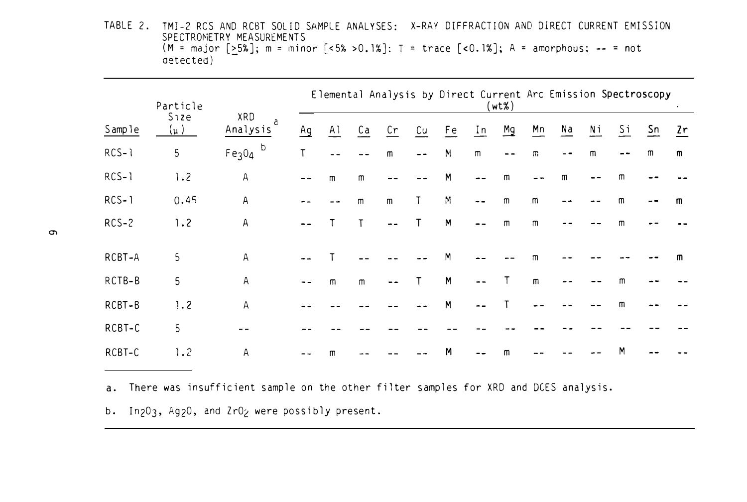TABLE 2. TMI-2 RCS AND RCBT SOLID SAMPLE ANALYSES: X-RAY DIFFRACTION AND DIRECT CURRENT EMISSION SPECTROMETRY MEASUREMENTS (M = major  $[>5\%]$ ; m = minor  $[<5\%>0.1\%]$ : T = trace  $[<0.1\%]$ ; A = amorphous; -- = not aetected)

|         | Particle           |                                     | Elemental Analysis by Direct Current Arc Emission Spectroscopy<br>$(wt\%)$ |     |              |              |    |              |                |    |             |    |    |                |                |    |
|---------|--------------------|-------------------------------------|----------------------------------------------------------------------------|-----|--------------|--------------|----|--------------|----------------|----|-------------|----|----|----------------|----------------|----|
| Sample  | <b>Size</b><br>(µ) | XRD<br>a<br>Analysis                | Ag                                                                         | A l | Ca           | Cr           | Cu | Fe           | $\mathbf{I}$ n | Mg | Mn          | Na | Νi | $\frac{Si}{1}$ | S <sub>n</sub> | 2r |
| $RCS-1$ | $5\phantom{.0}$    | b<br>Fe <sub>3</sub> O <sub>4</sub> | Т                                                                          |     |              | $\mathsf{m}$ | -- | $\mathsf{M}$ | $\mathsf{m}$   |    | m           |    | m  | --             | m              | m  |
| $RCS-1$ | 1.2                | A                                   | $- -$                                                                      | m   | m            |              |    | M            |                | m  |             | m  |    | m              |                |    |
| $RCS-1$ | 0.45               | $\mathsf A$                         |                                                                            |     | $\mathsf{m}$ | m            | Τ  | M            |                | m  | m           |    |    | m              |                | m  |
| $RCS-2$ | 1.2                | $\mathsf{A}$                        |                                                                            |     |              | --           |    | M            |                | m  | m           |    |    | m              |                |    |
| RCBT-A  | 5                  | $\mathsf A$                         |                                                                            |     |              |              |    | M            |                |    |             |    |    |                |                | m  |
| RCTB-B  | 5                  | ${\sf A}$                           |                                                                            | m   | $\mathsf{m}$ |              | Т  | M            |                |    | $\mathsf m$ |    |    | m              |                |    |
| RCBT-B  | 1.2                | Α                                   |                                                                            |     |              |              |    | M            |                |    |             |    |    | m              |                |    |
| RCBT-C  | 5                  |                                     |                                                                            |     |              |              |    |              |                |    |             |    |    |                |                |    |
| RCBT-C  | 1.2                | ${\sf A}$                           |                                                                            | m   |              |              |    | M            |                | m  |             |    |    | M              |                |    |

a. There was insufficient sample on the other filter samples for XRD and DCES analysis.

b. In<sub>2</sub>0<sub>3</sub>, Ag<sub>2</sub>0, and Zr0<sub>2</sub> were possibly present.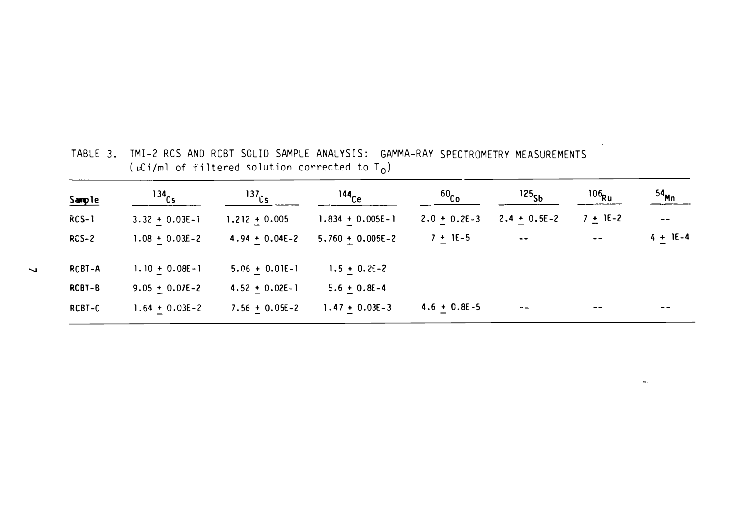| Sample  | $^{134}$ Cs        | $^{137}$ Cs        | $144$ <sub>Ce</sub>  | 60 <sub>Co</sub> | 125 <sub>5b</sub>        | $106$ Ru   | 54 <sub>Mn</sub>         |
|---------|--------------------|--------------------|----------------------|------------------|--------------------------|------------|--------------------------|
| RCS-1   | $3.32 + 0.03E - i$ | $1.212 + 0.005$    | $1.834 + 0.005E - 1$ | $2.0 + 0.2E - 3$ | $2.4 + 0.5E - 2$         | $7 + 1E-2$ | $- -$                    |
| $RCS-2$ | $1.08 + 0.03E - 2$ | $4.94 + 0.04E - 2$ | $5.760 + 0.005E - 2$ | $7 + 1E-5$       | $\overline{\phantom{a}}$ | $ -$       | $4 + 1E - 4$             |
| RCBT-A  | $1.10 + 0.08E - 1$ | $5.06 + 0.01E-1$   | $1.5 + 0.2E - 2$     |                  |                          |            |                          |
| RCBT-B  | $9.05 + 0.07E - 2$ | $4.52 + 0.02E - 1$ | $5.6 + 0.8E - 4$     |                  |                          |            |                          |
| RCBT-C  | $1.64 + 0.03E - 2$ | $7.56 + 0.05E - 2$ | $1.47 + 0.03E - 3$   | $4.6 + 0.8E - 5$ | $- -$                    | $- -$      | $\overline{\phantom{a}}$ |

TABLE 3. TMI-2 RCS AND RCBT SCLID SAMPLE ANALYSIS: GAMMA-RAY SPECTROMETRY MEASUREMENTS ( $\mu$ Ci/ml of filtered solution corrected to T<sub>0</sub>)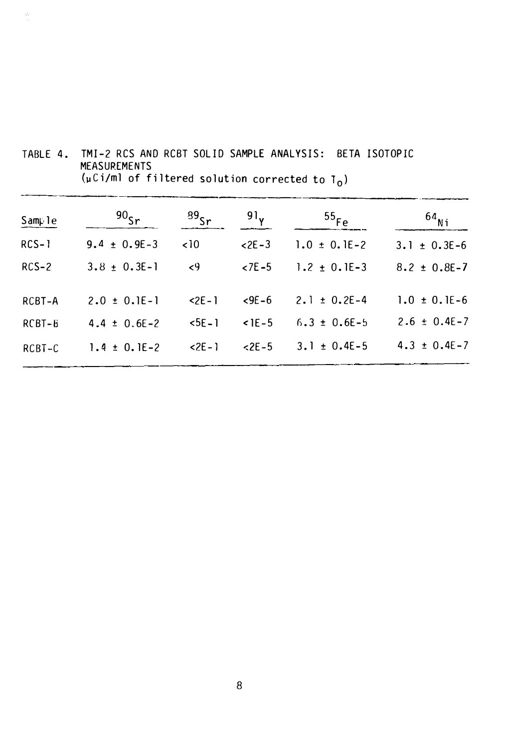| Sample  | 90 <sub>Sr</sub>   | $^{89}$ Sr  | 91 <sub>y</sub> | $^{55}$ Fe         | $^{64}$ Ni         |
|---------|--------------------|-------------|-----------------|--------------------|--------------------|
| $RCS-1$ | 9.4 $\pm$ 0.9E-3   | $\sim$ 10   | $2E - 3$        | $1.0 \pm 0.1E - 2$ | $3.1 \pm 0.3E-6$   |
| $RCS-2$ | $3.8 \pm 0.3E - 1$ | $\langle 9$ | $27E - 5$       | 1.2 $\pm$ 0.1E-3   | $8.2 \pm 0.8E - 7$ |
| RCBT-A  | $2.0 \pm 0.1E - 1$ | $2E - 1$    | $59E - 6$       | $2.1 \pm 0.2E-4$   | $1.0 \pm 0.1E - 6$ |
| RCBT-6  | $4.4 \pm 0.6E - 2$ | $5E - 1$    | $<$ 1E – 5      | $6.3 \pm 0.6E - 5$ | $2.6 \pm 0.4E - 7$ |
| RCBT-C  | 1.4 $\pm$ 0.1E-2   | $2E - 1$    | $< 2E - 5$      | $3.1 \pm 0.4E - 5$ | $4.3 \pm 0.4E - 7$ |

TABLE 4. TMI-2 RCS AND RCBT SOLID SAMPLE ANALYSIS: BETA ISOTOPIC MEASUREMENTS (µCi/ml of filtered solution corrected to T $_{\rm 0}$ )

 $\mathcal{O}_1$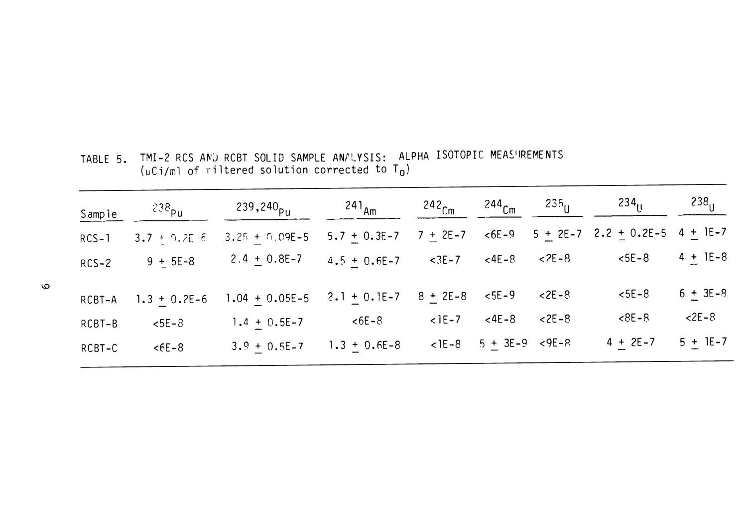| Sample  | 238 <sub>Pu</sub> | 239,240 <sub>pu</sub> | $241_{Am}$       | $242$ <sub>Cm</sub> | $^{244}$ Cm       | $235_{\text{H}}$ | $234_{\text{U}}$                           | $238_{\text{H}}$ |
|---------|-------------------|-----------------------|------------------|---------------------|-------------------|------------------|--------------------------------------------|------------------|
| $RCS-1$ | $3.7 + 9.2E - 6$  | $3.25 + 0.09E - 5$    | $5.7 + 0.3E - 7$ | $7 + 2E - 7$        | $< 6E - 9$        |                  | $5 + 2E - 7$ 2.2 $\pm$ 0.2E-5 4 $\pm$ 1E-7 |                  |
| $RCS-2$ | $9 + 5E-8$        | 2.4 $\pm$ 0.8E-7      | $4.5 + 0.6E - 7$ | $< 3E - 7$          | $<$ 4E – 8        | $2E-8$           | $5E-8$                                     | $4 + 1E-8$       |
| RCBT-A  | $1.3 + 0.2E - 6$  | $1.04 + 0.05E - 5$    | $2.1 + 0.1E - 7$ | $8 + 2E - 8$        | $5E - 9$          | $2E - 8$         | $5E-8$                                     | $6 + 3E - 8$     |
| RCBT-B  | $5E - 8$          | $1.4 + 0.5E - 7$      | $56E - 8$        | $<$ 1E – 7          | $<$ 4E – 8        | $2E - 8$         | $8 - 8$                                    | $2E - 8$         |
| RCBT-C  | $5 - 8$           | $3.9 + 0.5E - 7$      | $1.3 + 0.6E - 8$ | $<$ 1E $-8$         | $5 + 3E-9 < 9E-R$ |                  | $4 + 2E - 7$                               | $5 + 1E - 7$     |

TABLE 5. TMI-2 RCS AND RCBT SOLID SAMPLE ANALYSIS: ALPHA ISOTOPIC MEASUREMENTS  $(\mu Ci/m)$  of riltered solution corrected to T<sub>0</sub>)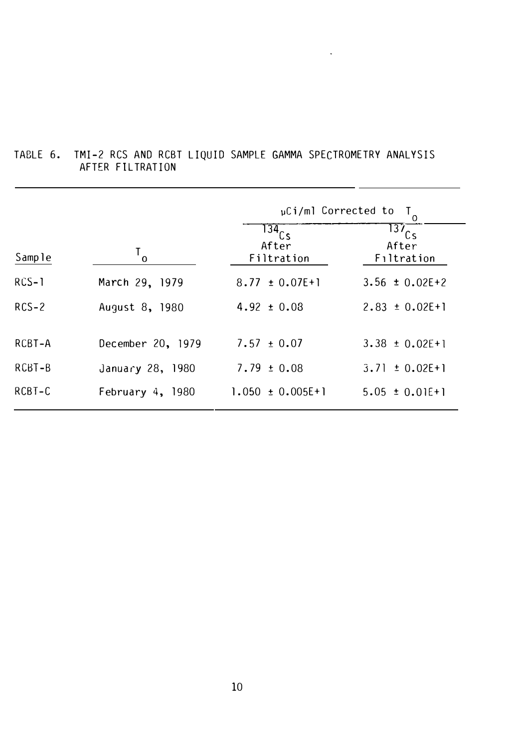|         |                    | $\mu$ Ci/ml Corrected to<br>$\mathsf{T}_{\mathsf{o}}$ |                                            |  |  |  |  |  |  |
|---------|--------------------|-------------------------------------------------------|--------------------------------------------|--|--|--|--|--|--|
| Sample  | $T_{\rm o}$        | 134Cs<br>After<br>Filtration                          | $137$ <sub>Cs</sub><br>After<br>Filtration |  |  |  |  |  |  |
| $RCS-1$ | March 29, 1979     | $8.77 \pm 0.07E + 1$                                  | $3.56 \pm 0.02E + 2$                       |  |  |  |  |  |  |
| $RCS-2$ | August 8, 1980     | $4.92 \pm 0.03$                                       | $2.83 \pm 0.02E + 1$                       |  |  |  |  |  |  |
| RCBT-A  | December 20, 1979  | $7.57 \pm 0.07$                                       | $3.38 \pm 0.02$ E + 1                      |  |  |  |  |  |  |
| RCBT-B  | January 28, 1980   | $7.79 \pm 0.08$                                       | $3.71 \pm 0.02E+1$                         |  |  |  |  |  |  |
| RCBT-C  | February $4, 1980$ | $1.050 \pm 0.005E + 1$                                | $5.05 \pm 0.01E+1$                         |  |  |  |  |  |  |

# TABLE 6. TMI-2 RCS AND RCBT LIQUID SAMPLE GAMMA SPECTROMETRY ANALYSIS AFTER FILTRATION

 $\omega_{\rm{max}}$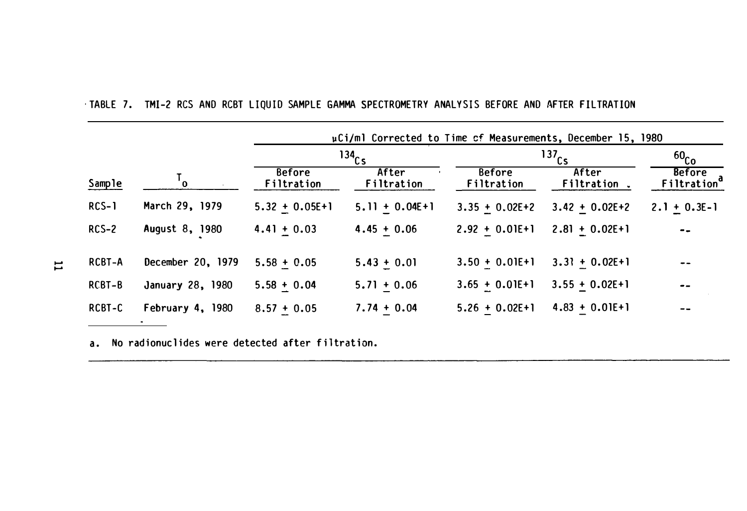|         |                   |                             | $134$ <sub>Cs</sub> | $^{137}$ Cs                 | 60 <sub>Co</sub>    |                                          |
|---------|-------------------|-----------------------------|---------------------|-----------------------------|---------------------|------------------------------------------|
| Sample  |                   | <b>Before</b><br>Filtration | After<br>Filtration | <b>Before</b><br>Filtration | After<br>Filtration | <b>Before</b><br>Filtration <sup>d</sup> |
| $RCS-1$ | March 29, 1979    | $5.32 + 0.05E + 1$          | $5.11 + 0.04E + 1$  | $3.35 + 0.02E + 2$          | $3.42 + 0.02E + 2$  | $2.1 + 0.3E-1$                           |
| $RCS-2$ | August 8, 1980    | $4.41 + 0.03$               | $4.45 + 0.06$       | $2.92 + 0.01E + 1$          | $2.81 + 0.02E + 1$  | $- -$                                    |
| RCBT-A  | December 20, 1979 | $5.58 + 0.05$               | $5.43 + 0.01$       | $3.50 + 0.01E + 1$          | $3.3! + 0.02E + 1$  | --                                       |
| RCBT-B  | January 28, 1980  | $5.58 + 0.04$               | $5.71 + 0.06$       | $3.65 + 0.01E + 1$          | $3.55 + 0.02E + 1$  | $ -$                                     |
| RCBT-C  | February 4, 1980  | $8.57 + 0.05$               | $7.74 + 0.04$       | $5.26 + 0.02E + 1$          | $4.83 + 0.01E + 1$  | $ -$                                     |

· TABLE 7. TMI-2 RCS AND RCBT LIQUID SAMPLE GAMMA SPECTROMETRY ANALYSIS BEFORE AND AFTER FILTRATION

a. No radionuclides were detected after filtration.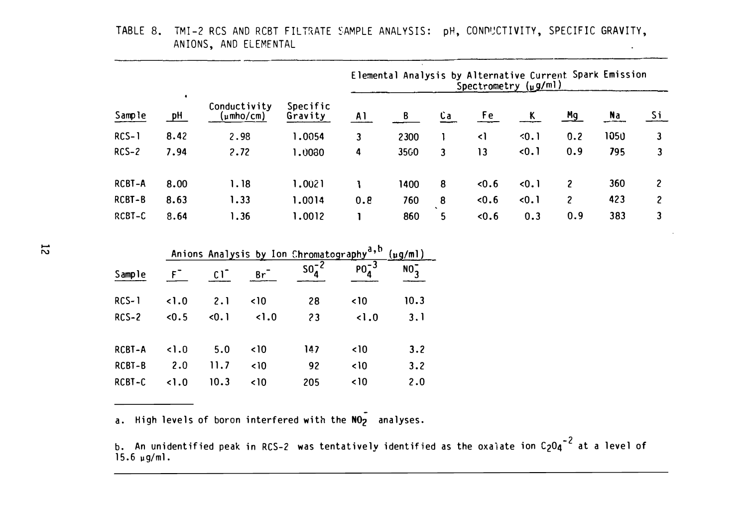|              |         |      |                           |                                                      |              |                 |              |                 | Elemental Analysis by Alternative Current Spark Emission<br>Spectrometry (µg/ml) |                         |           |                         |
|--------------|---------|------|---------------------------|------------------------------------------------------|--------------|-----------------|--------------|-----------------|----------------------------------------------------------------------------------|-------------------------|-----------|-------------------------|
| Sample       | ٠<br>pH |      | Conductivity<br>(µmho/cm) | Specific<br>Gravity                                  | A1           | B               | $Ca$         | Fe              | $\overline{\mathbf{K}}$                                                          | Mg                      | <u>Na</u> | <u>Si</u>               |
| $RCS-1$      | 8.42    | 2.98 |                           | 1.0054                                               | 3            | 2300            | 1            | $\triangleleft$ | 30.1                                                                             | 0.2                     | 1050      | 3                       |
| $RCS-2$      | 7.94    | 2.72 |                           | 1.0030                                               | 4            | 3560            | $\mathbf{3}$ | 13              | $-0.1$                                                                           | 0.9                     | 795       | $\mathbf{3}$            |
| RCBT-A       | 8.00    |      | 1.18                      | 1.0021                                               | L            | 1400            | 8            | 0.6             | 0.1                                                                              | $\overline{\mathbf{c}}$ | 360       | $\overline{\mathbf{c}}$ |
| RCBT-B       | 8.63    |      | 1.33                      | 1.0014                                               | 0.8          | 760             | $\pmb{8}$    | 0.6             | $-0.1$                                                                           | $\overline{c}$          | 423       | $\mathbf{2}$            |
| RCBT-C       | 8.64    |      | 1.36                      | 1.0012                                               | ı            | 860             | 5            | 0.6             | 0.3                                                                              | 0.9                     | 383       | 3                       |
|              |         |      |                           | Anions Analysis by Ion Chromatography <sup>a,b</sup> |              | $(\mu g/ml)$    |              |                 |                                                                                  |                         |           |                         |
| Sample       | F       | C1   | $Br^-$                    | $504-2$                                              | $p_0^{-3}$   | NO <sub>3</sub> |              |                 |                                                                                  |                         |           |                         |
| <b>RCS-1</b> | 1.0     | 2.1  | $\sim$ 10                 | 28                                                   | $\sim$ 10    | 10.3            |              |                 |                                                                                  |                         |           |                         |
| $RCS-2$      | 0.5     | 0.1  | 1.0                       | 23                                                   | 1.0          | 3.1             |              |                 |                                                                                  |                         |           |                         |
| RCBT-A       | 1.0     | 5.0  | $\sim$ 10                 | 147                                                  | $\langle$ 10 | 3.2             |              |                 |                                                                                  |                         |           |                         |
| RCBT-B       | 2.0     | 11.7 | $\langle$ 10              | 92                                                   | $\langle$ 10 | 3.2             |              |                 |                                                                                  |                         |           |                         |
| RCBT-C       | 1.0     | 10.3 | $\langle$ 10              | 205                                                  | $\langle$ 10 | 2.0             |              |                 |                                                                                  |                         |           |                         |

TABLE 8. TMI-2 RCS AND RCBT FILTRATE SAMPLE ANALYSIS: pH, CONDUCTIVITY, SPECIFIC GRAVITY, ANIONS, AND ELEMENTAL

a. High levels of boron interfered with the  $\overline{\text{NO}_2}$  analyses.

b. An unidentified peak in RCS-2 was tentatively identified as the oxalate ion C<sub>2</sub>O4<sup>-2</sup> at a level of 15.6 �g/ml.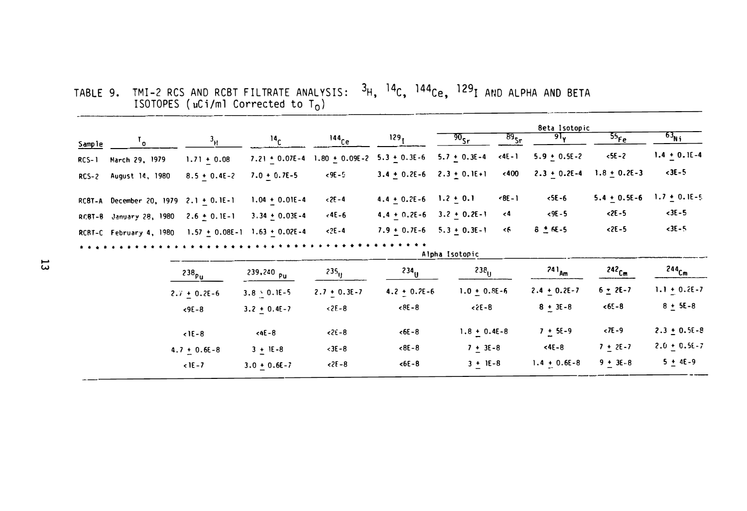TABLE 9. TMI-2 RCS AND RCBT FILTRATE ANALYSIS:  ${}^{3}H$ ,  ${}^{14}C$ ,  ${}^{144}Ce$ ,  ${}^{129}I$  and alpha and BETA<br>ISOTOPES (uCi/ml Corrected to T<sub>O</sub>)

|         |                                           |                    |                      |                     |                                   |                             |                      | <b>Beta Isotopic</b> |                   |                     |
|---------|-------------------------------------------|--------------------|----------------------|---------------------|-----------------------------------|-----------------------------|----------------------|----------------------|-------------------|---------------------|
| Sample  | $\mathbf{I}_{\mathbf{0}}$                 | $3_H$              | 14 <sub>C</sub>      | $144$ <sub>Ce</sub> | 129 <sub>1</sub>                  | $\overline{90}_{\text{Sr}}$ | $\overline{B9}_{5r}$ | 91 <sub>v</sub>      | $55_{Fe}$         | $63_{\text{Ni}}$    |
| $RCS-1$ | March 29, 1979                            | $1.71 \pm 0.08$    | $7.21 + 0.07E - 4$   | $1.80 + 0.09E - 2$  | $5.3 + 0.3E - 6$                  | $5.7 \pm 0.3E - 4$          | $(4E - 1)$           | $5.9 + 0.5E - 2$     | $5E - 2$          | $1.4 + 0.1E - 4$    |
| $RCS-2$ | August 14, 1980                           | $8.5 + 0.4E - 2$   | $7.0 + 0.7E - 5$     | $< 9E - 5$          | $3.4 + 0.2E - 6$                  | $2.3 + 0.1E + 1$            | < 400                | $2.3 + 0.2E - 4$     | $1.8 + 0.2E - 3$  | $3E-5$              |
|         | RC8T-A December 20, 1979 2.1 $\pm$ 0.1E-1 |                    | $1.04 + 0.01E - 4$   | $< 2E - 4$          | $4.4 \pm 0.2E - 6$ 1.2 $\pm$ 0.1  |                             | $8E - 1$             | $5E-6$               | $5.4 + 0.5E - 6$  | $1.7 + 0.1E - 5$    |
|         | RCBT-B January 28, 1980                   | $2.6 + 0.1E-1$     | $3.34 + 0.03E - 4$   | $-4E - 6$           | $4.4 + 0.2E - 6$                  | $3.2 + 0.2E - 1$            | $\epsilon$ 4         | $< 9E - 5$           | $2E - 5$          | $< 3E - 5$          |
|         | RCBT-C February 4, 1980                   | $1.57 + 0.08E - 1$ | $1.63 + 0.02E - 4$   | $2E - 4$            | $7.9 + 0.7E - 6$ $5.3 + 0.3E - 1$ |                             | <6                   | $8 + 6E - 5$         | $2E-5$            | $3E - 5$            |
|         |                                           |                    | Alpha Isotopic       |                     |                                   |                             |                      |                      |                   |                     |
|         |                                           | 238 <sub>Pu</sub>  | 239,240 Pu           | $235_{\text{H}}$    | $234_{\text{H}}$                  | $238_{\text{LJ}}$           |                      | 24 1 <sub>Am</sub>   | 242 <sub>Cm</sub> | $244$ <sub>Cm</sub> |
|         |                                           | $2.7 + 0.2E - 6$   | $3.8 \cdot 0.1E - 5$ | $2.7 + 0.3E - 7$    | $4.2 + 0.7E - 6$                  | $1.0 + 0.8E - 6$            |                      | $2.4 + 0.2E - 7$     | $6 - 2E - 7$      | 1.1 $\pm$ 0.2E-7    |
|         |                                           | $< 9E - 8$         | $3.2 + 0.4E - 7$     | $2E - 8$            | $8 - 8$                           | $25 - 8$                    |                      | $8 + 3E - 8$         | $<65-8$           | $8 + 5E - 8$        |
|         |                                           | $1E-8$             | $46 - 8$             | $2E - 8$            | $< 6E - 8$                        | $1.8 + 0.4E - 8$            |                      | $7 + 5E - 9$         | $57E - 9$         | $2.3 + 0.5E - 8$    |
|         |                                           | $4.7 + 0.6E - 8$   | $3 + 1E - 8$         | $<3E-8$             | $<8E-8$                           | $7 + 3E - 8$                |                      | $<$ 4E – 8           | $7 + 2E - 7$      | $2.0 + 0.56 - 7$    |
|         |                                           | $1E - 7$           | $3.0 + 0.6E - 7$     | $2E - 8$            | $<0E-8$                           | $3 + 1E-8$                  |                      | $1.4 + 0.6E - 8$     | $9 + 3E - 8$      | $5 + 4E - 9$        |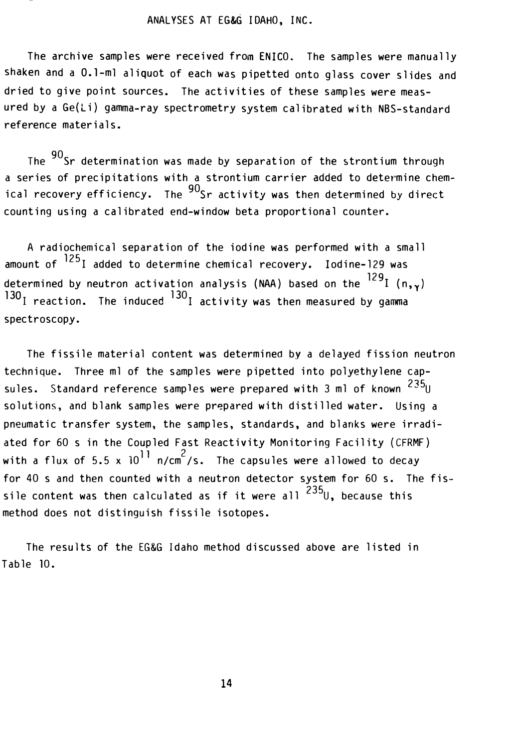## ANALYSES AT EG&G I DAHO, INC.

The archive samples were received from ENICO. The samples were manually shaken and a 0.1-ml aliquot of each was pipetted onto glass cover slides and dried to give point sources. The activities of these samples were measured by a Ge(Li) gamma-ray spectrometry system calibrated with NBS-standard reference materials.

The <sup>90</sup>Sr determination was made by separation of the strontium through a series of precipitations with a strontium carrier added to determine chemical recovery efficiency. The  $90$ Sr activity was then determined by direct counting using a calibrated end-window beta proportional counter.

A radiochemical separation of the iodine was performed with a small amount of  $^{125}$ I added to determine chemical recovery. Iodine-129 was determined by neutron activation analysis (NAA) based on the  $^{129}$ I (n,  $_{\text{Y}}$ )  $130<sub>I</sub>$  reaction. The induced  $130<sub>I</sub>$  activity was then measured by gamma spectroscopy.

The fissile material content was determined by a delayed fission neutron technique. Three ml of the samples were pipetted into polyethylene capsules. Standard reference samples were prepared with 3 ml of known  $^{235}$ U solutions, and blank samples were prepared with distilled water. Using a pneumatic transfer system, the samples, standards, and blanks were irradiated for 60 s in the Coupled Fast Reactivity Monitoring Facility (CFRMF) with a flux of 5.5 x  $10^{11}$  n/cm<sup>2</sup>/s. The capsules were allowed to decay for 40 s and then counted with a neutron detector system for 60 s. The fissile content was then calculated as if it were all  $^{235}$ U, because this method does not distinguish fissi le isotopes.

The results of the EG&G Idaho method discussed above are listed in Table 10.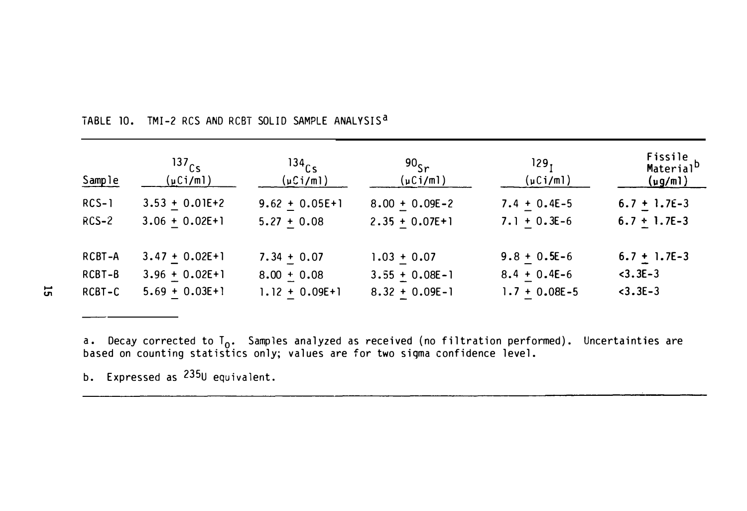| Sample  | 137 <sub>cs</sub><br>$(\mu$ Ci/ml) | 134 <sub>cs</sub><br>$(\mu$ Ci/ml) | 90 <sub>5</sub><br>$(\mu$ Ci/ml) | 129,<br>$(\mu$ Ci/ml) | Fissile<br>Material <sup>b</sup><br><u>(µg/ml)</u> |
|---------|------------------------------------|------------------------------------|----------------------------------|-----------------------|----------------------------------------------------|
| $RCS-1$ | $3.53 + 0.01E + 2$                 | $9.62 + 0.05E + 1$                 | $8.00 + 0.09E - 2$               | $7.4 + 0.4E-5$        | $6.7 + 1.7E-3$                                     |
| $RCS-2$ | $3.06 + 0.02E + 1$                 | $5.27 + 0.08$                      | $2.35 + 0.07E + 1$               | $7.1 + 0.3E-6$        | $6.7 + 1.7E-3$                                     |
| RCBT-A  | $3.47 + 0.02E + 1$                 | $7.34 + 0.07$                      | $1.03 + 0.07$                    | $9.8 + 0.5E - 6$      | $6.7 + 1.7E-3$                                     |
| RCBT-B  | $3.96 + 0.02E + 1$                 | $8.00 + 0.08$                      | $3.55 + 0.08E - 1$               | $8.4 + 0.4E - 6$      | $<$ 3.3E-3                                         |
| RCBT-C  | $5.69 + 0.03E + 1$                 | $1.12 + 0.09E + 1$                 | $8.32 + 0.09E - 1$               | $1.7 + 0.08E - 5$     | $3.3E-3$                                           |

TABLE 10. TMI-2 RCS AND RCBT SOLID SAMPLE ANALYSIS<sup>a</sup>

a. Decay corrected to  $T_0$ . Samples analyzed as received (no filtration performed). Uncertainties are based on counting statistics only; values are for two sigma confidence level.

b. Expressed as 235U equivalent.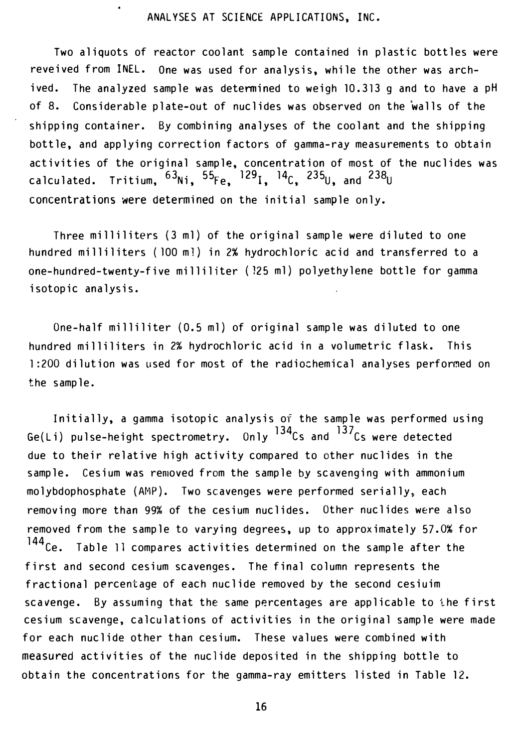## ANALYSES AT SCIENCE APPLICATIONS, INC.

Two aliquots of reactor coolant sample contained in plastic bottles were reveived from INEL. One was used for analysis, while the other was archived. The analyzed sample was determined to weigh 10.313 g and to have a pH of 8. Considerable plate-out of nuclides was observed on the �alls of the shipping container. By combining analyses of the coolant and the shipping bottle, and applying correction factors of gamma-ray measurements to obtain activities of the original sample, concentration of most of the nuclides was calculated. Tritium,  $^{63}$ Ni,  $^{55}$ Fe,  $^{129}$ I,  $^{14}$ C,  $^{235}$ U, and  $^{238}$ U concentrations were determined on the initial sample only.

Three milliliters (3 ml) of the original sample were diluted to one hundred milliliters (100 m1) in 2% hydrochloric acid and transferred to a one-hundred-twenty-five milliliter (125 ml) polyethylene bottle for gamma isotopic analysis.

One-half milliliter (0.5 ml) of original sample was diluted to one hundred milliliters in 2% hydrochloric acid in a volumetric flask. This 1:200 dilution was used for most of the radiochemical analyses performed on the sample.

Initially, a gamma isotopic analysis of the sample was performed using Ge(Li) pulse-height spectrometry. Only  $134$ Cs and  $137$ Cs were detected due to their relative high activity compared to other nuclides in the sample. Cesium was removed from the sample by scavenging with ammonium molybdophosphate (AMP). Two scavenges were performed serially, each removing more than 99% of the cesium nuclides. Other nuclides were also removed from the sample to varying degrees, up to approximately 57.0% for<br> $144_{C_2}$  . In the 11 compares activities determined on the sample after the Table 11 compares activities determined on the sample after the first and second cesium scavenges. The final column represents the fractional percentage of each nuclide removed by the second cesiuim scavenge. By assuming that the same percentages are applicable to the first cesium scavenge, calculations of activities in the original sample were made for each nuclide other than cesium. These values were combined with measured activities of the nuclide deposited in the shipping bottle to obtain the concentrations for the gamma-ray emitters listed in Table 12.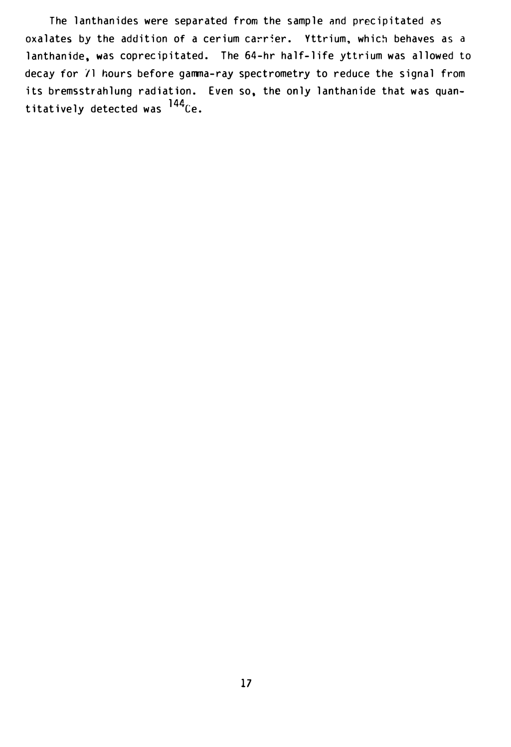The lanthanides were separated from the sample and precipitated as oxalates by the addition of a cerium carrier. Yttrium, which behaves as a lanthanide. was coprecipitated. The 64-hr half-life yttrium was allowed to decay for /1 hours before gamma-ray spectrometry to reduce the signal from its bremsstrahlung radiation. Even so, the only lanthanide that was quantitatively detected was <sup>144</sup>Ce.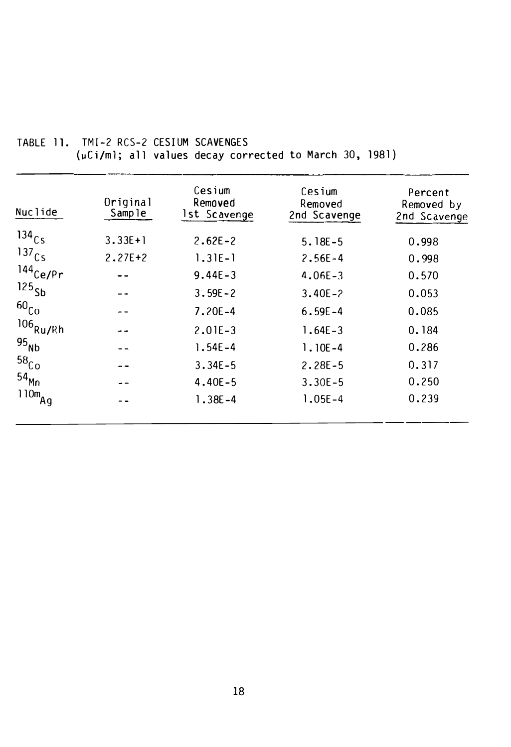| Nuclide              | Original<br>Sample | Cesium<br>Removed<br>1st Scavenge | Cesium<br>Removed<br>2nd Scavenge | Percent<br>Removed by<br>2nd Scavenge |
|----------------------|--------------------|-----------------------------------|-----------------------------------|---------------------------------------|
| 134 <sub>Cs</sub>    | $3.33E+1$          | $2.62E - 2$                       | $5.18E - 5$                       | 0.998                                 |
| 137 <sub>Cs</sub>    | $2.27E+2$          | $1.31E-1$                         | $2.56E - 4$                       | 0.998                                 |
| $144$ Ce/Pr          |                    | $9.44E - 3$                       | $4.06E - 3$                       | 0.570                                 |
| 125 <sub>5b</sub>    |                    | $3.59E - 2$                       | $3.40E - 2$                       | 0.053                                 |
| 60 <sub>Co</sub>     |                    | $7.20E - 4$                       | $6.59E - 4$                       | 0.085                                 |
| $^{106}$ Ru/Rh       |                    | $2.01E - 3$                       | $1.64E - 3$                       | 0.184                                 |
| $95_{Nb}$            |                    | $1.54E - 4$                       | $1.10E - 4$                       | 0.286                                 |
| $58$ <sub>Co</sub>   |                    | $3.34E - 5$                       | $2.28E - 5$                       | 0.317                                 |
| 54 <sub>Mn</sub>     |                    | $4.40E - 5$                       | $3.30E - 5$                       | 0.250                                 |
| $110m$ <sub>Ag</sub> |                    | $1.38E - 4$                       | $1.05E - 4$                       | 0.239                                 |
|                      |                    |                                   |                                   |                                       |

# TABLE 11. TMI-2 RCS-2 CESIUM SCAVENGES (µCi/ml; all values decay corrected to March 30, 1981)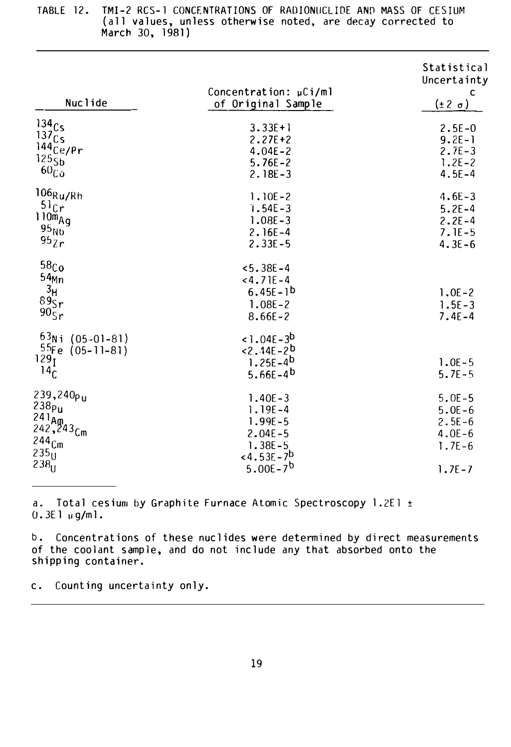| Nuclide                                                                                                                                       | Concentration: µCi/ml<br>of Original Sample                                                           | Statistical<br>Uncertainty<br>C<br>$(\pm 2 \sigma)$              |
|-----------------------------------------------------------------------------------------------------------------------------------------------|-------------------------------------------------------------------------------------------------------|------------------------------------------------------------------|
| 134Cs<br>137c <sub>S</sub><br>$144$ <sub>Ce/Pr</sub><br>125 <sub>5b</sub><br>$60_{Co}$                                                        | $3.33E+1$<br>$2.27E + 2$<br>$4.04E - 2$<br>$5.76E - 2$<br>$2.18E - 3$                                 | $2.5E - 0$<br>$9.2E - 1$<br>$2.7E-3$<br>$1.2E - 2$<br>$4.5E - 4$ |
| $106$ Ru/Rh<br>51 <sub>Cr</sub><br>$110m_{Ag}$<br>95 <sub>Nb</sub><br>95Zr                                                                    | $1.10E - 2$<br>$1.54E - 3$<br>$1.08E - 3$<br>$2.16E - 4$<br>$2.33E - 5$                               | $4.6E - 3$<br>$5.2E - 4$<br>$2.2E - 4$<br>$7.1E-5$<br>$4.3E - 6$ |
| 58 <sub>Co</sub><br>54 <sub>Min</sub><br>$3_H$<br>89 <sub>Sr</sub><br>$90\frac{6}{5}r$                                                        | $5.38E - 4$<br>$<4.71E-4$<br>$6.45E - 1^{b}$<br>$1.08E - 2$<br>$8.66E - 2$                            | $1.0E - 2$<br>$1.5E - 3$<br>$7.4E - 4$                           |
| $63$ Ni<br>$(05-01-81)$<br>55Fe<br>$(05 - 11 - 81)$<br>129 <sub>I</sub><br>14 <sub>C</sub>                                                    | $1.04E-3^{b}$<br>$< 2.14E - 2b$<br>$1.25E - 4b$<br>$5.66E - 4^{b}$                                    | $1.0E - 5$<br>$5.7E - 5$                                         |
| 239,240 <sub>Pu</sub><br>238 <sub>Pu</sub><br>241 <sub>Am.</sub><br>242, 243 <sub>Cm</sub><br>244 <sub>Cm</sub><br>$235\overset{\small >}{0}$ | $1.40E - 3$<br>$1.19E - 4$<br>$1.99E - 5$<br>$2.04E - 5$<br>$1.38E - 5$<br>$<$ 4.53E – 7 <sup>b</sup> | $5.0E - 5$<br>$5.0E - 6$<br>$2.5E-6$<br>$4.0E - 6$<br>$1.7E - 6$ |
| 238 <sub>U</sub>                                                                                                                              | 5.00E-7 <sup>b</sup>                                                                                  | $1.7E - 7$                                                       |

TABLE 12. TMI-2 RCS-1 CONCENTRATIONS OF RADIONUCLIDE AND MASS OF CESIUM (all values, unless otherwise noted, are decay corrected to March 30, 1 981)

a. Total cesium by Graphite Furnace Atomic Spectroscopy 1.2El ±  $0.3E1 \mu g/ml.$ 

b. Concentrations of these nuclides were determined by direct measurements of the coolant sample, and do not include any that absorbed onto the shipping container.

c. Counting uncertainty on ly.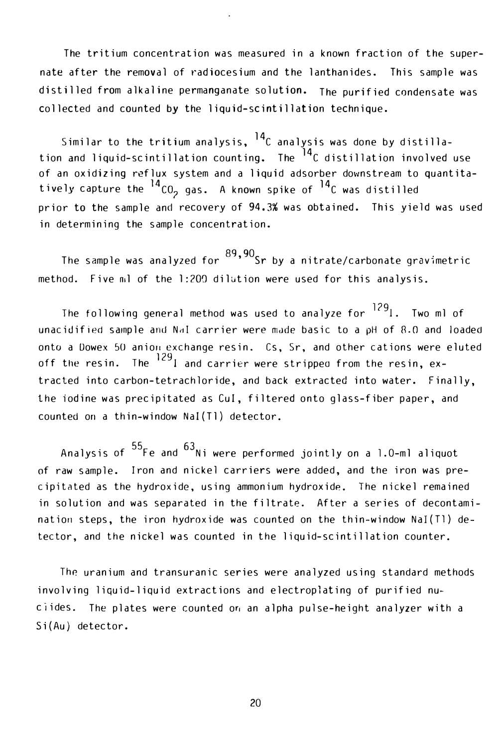The tritium concentration was measured in a known fraction of the supernate after the removal of radiocesium and the lanthanides. This sample was distilled from alkaline permanganate solution. The purified condensate was collected and counted by the liquid-scintillation technique.

Similar to the tritium analysis,  $^{14}$ C analysis was done by distillation and liquid-scintillation counting. The <sup>14</sup>C distillation involved use of an oxidizing reflux system and a liquid adsorber downstream to quantitatively capture the  $^{14}$ CO<sub>2</sub> gas. A known spike of  $^{14}$ C was distilled prior to the sample and recovery of 94.3% was obtained. This yield was used in determining the sample concentration.

The sample was analyzed for  $89,90$ <br>Sr by a nitrate/carbonate gravimetric method. Five ml of the 1:200 dilution were used for this analysis.

The following general method was used to analyze for <sup>129</sup>1. Two ml of unacidified sample and Nal carrier were made basic to a pH of 8.0 and loaded onto a Dowex 50 anion exchange resin. Cs, Sr, and other cations were eluted off the resin. The  $^{129}$ l and carrier were stripped from the resin, extracted into carbon-tetrachloride, and back extracted into water. Finally, the iodine was precipitated as Cui, filtered onto glass-fiber paper, and counted on a thin-window Nai(Tl) detector.

Analysis of  $^{55}$ Fe and  $^{63}$ Ni were performed jointly on a 1.0-ml aliquot of raw sample. Iron and nickel carriers were added, and the iron was precipitated as the hydroxide, using ammonium hydroxide. The nickel remained in solution and was separated in the filtrate. After a series of decontamination steps, the iron hydroxide was counted on the thin-window NaI(Tl) detector, and the nickel was counted in the liquid-scintillation counter.

The uranium and transuranic series were analyzed using standard methods involving liquid-liquid extractions and electroplating of purified nuciides. The plates were counted o� an alpha pulse-height analyzer with a Si(Au) detector.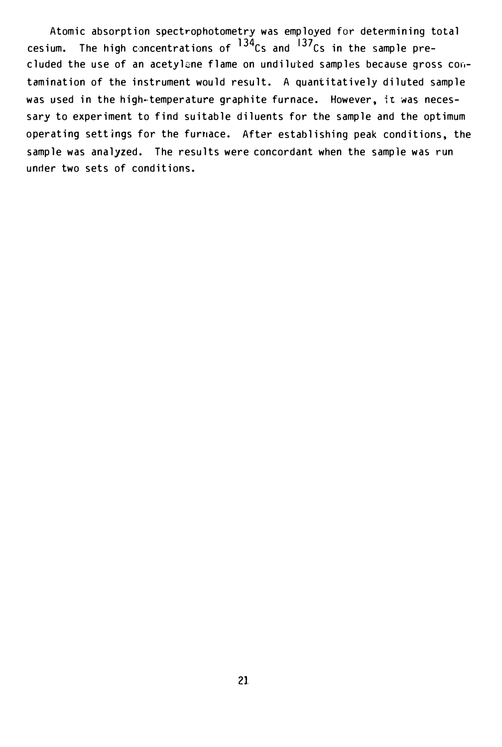Atomic absorption spectrophotometry was employed for determining total cesium. The high concentrations of  $134$ Cs and  $137$ Cs in the sample precluded the use of an acetylene flame on undiluted samples because gross contamination of the instrument would result. A quantitatively diluted sample was used in the high-temperature graphite furnace. However, it was necessary to experiment to find suitable diluents for the sample and the optimum operating settings for the furnace. After establishing peak conditions, the sample was analyzed. The results were concordant when the sample was run under two sets of conditions.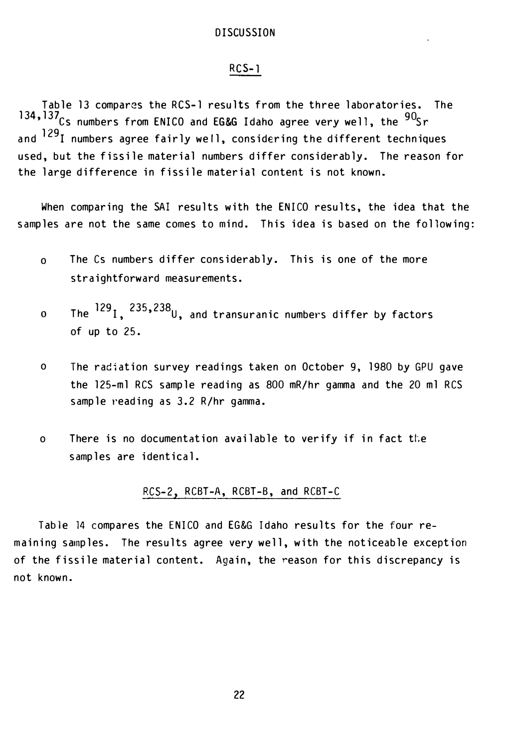## RCS-1

Table 13 compares the RCS-1 results from the three laboratories. The 134,  $137<sub>Cs</sub>$  numbers from ENICO and EG&G Idaho agree very well, the  $90<sub>Sr</sub>$ and <sup>129</sup>I numbers agree fairly well, considering the different techniques used, but the fissile material numbers differ considerably. The reason for the large difference in fissile material content is not known.

When comparing the SAl results with the ENICO results, the idea that the samples are not the same comes to mind. This idea is based on the following:

- o The Cs numbers differ considerably. This is one of the more straightforward measurements.
- o The  $^{129}$ I,  $^{235,238}$ U, and transuranic numbers differ by factors of up to 25.
- o The radiation survey readings taken on October 9, 1980 by GPU gave the 125-ml RCS sample reading as 800 mR/hr gamma and the 20 ml RCS sample reading as 3.2 R/hr gamma.
- o There is no documentation available to verify if in fact the samples are identical.

## RCS-2, RCBT-A, RCBT-B, and RCBT-C

Table 14 compares the ENICO and EG&G Idaho results for the four remaining samples. The results agree very well, with the noticeable exception of the fissile material content. Again, the reason for this discrepancy is not known.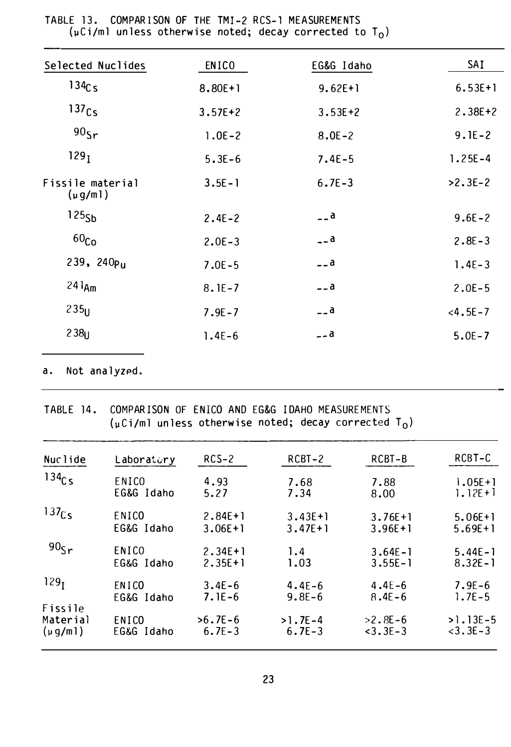| Selected Nuclides               | <b>ENICO</b> | EG&G Idaho  | SAI          |
|---------------------------------|--------------|-------------|--------------|
| $134C_S$                        | $8.80E+1$    | $9.62E+1$   | $6.53E+1$    |
| 137 <sub>Cs</sub>               | $3.57E + 2$  | $3.53E + 2$ | $2.38E + 2$  |
| 90 <sub>5r</sub>                | $1.0E - 2$   | $8.0E - 2$  | $9.1E - 2$   |
| 129 <sub>I</sub>                | $5.3E - 6$   | $7.4E-5$    | $1.25E - 4$  |
| Fissile material<br>$(\mu g/m)$ | $3.5E - 1$   | $6.7E - 3$  | $>2.3E-2$    |
| 125 <sub>5h</sub>               | $2.4E - 2$   | $ a$        | $9.6E - 2$   |
| 60 <sub>Co</sub>                | $2.0E - 3$   | $-.a$       | $2.8E - 3$   |
| 239, 240 $p_{II}$               | $7.0E - 5$   | $ a$        | $1.4E - 3$   |
| $241_{Am}$                      | $8.1E - 7$   | $ a$        | $2.0E - 5$   |
| 235                             | $7.9E - 7$   | $-$ a       | $< 4.5E - 7$ |
| $238_{11}$                      | $1.4E-6$     | $-$ a       | $5.0E - 7$   |
|                                 |              |             |              |

TABLE 13. COMPARISON OF THE TMI-2 RCS-1 MEASUREMENTS  $(\mu\text{Ci/ml}$  unless otherwise noted; decay corrected to  $T_0$ )

#### Not analyzed. a.

COMPARISON OF ENICO AND EG&G IDAHO MEASUREMENTS TABLE 14.  $(\mu\text{Ci}/\text{ml}$  unless otherwise noted; decay corrected T<sub>0</sub>)

| Nuclide                            | Laboratory          | $RCS-2$                 | RCBT-2                  | RCBT-B                    | RCBT-C                     |
|------------------------------------|---------------------|-------------------------|-------------------------|---------------------------|----------------------------|
| 134C <sub>S</sub>                  | ENICO               | 4.93                    | 7.68                    | 7.88                      | $1.05E + 1$                |
|                                    | EG&G Idaho          | 5.27                    | 7.34                    | 8.00                      | $1.12E+1$                  |
| 137 <sub>Cs</sub>                  | ENICO               | $2.84E+1$               | $3.43E+1$               | $3.76E+1$                 | $5.06E+1$                  |
|                                    | EG&G Idaho          | $3.06E + 1$             | $3.47E+1$               | $3.96E+1$                 | $5.69E + 1$                |
| 90 <sub>5r</sub>                   | ENICO               | $2.34E+1$               | 1.4                     | $3.64E - 1$               | $5.44E - 1$                |
|                                    | EG&G Idaho          | $2.35E+1$               | 1.03                    | $3.55E - 1$               | $8.32E - 1$                |
| 129 <sub>I</sub>                   | ENICO               | $3.4E - 6$              | $4.4E - 6$              | $4.4E - 6$                | $7.9E - 6$                 |
|                                    | EG&G Idaho          | $7.1E - 6$              | $9.8E - 6$              | $8.4E - 6$                | $1.7E - 5$                 |
| Fissile<br>Material<br>$(\mu g/m)$ | ENICO<br>EG&G Idaho | $>6.7E-6$<br>$6.7E - 3$ | $>1.7E-4$<br>$6.7E - 3$ | $>2.8E-6$<br>$< 3.3E - 3$ | $>1.13E-5$<br>$<$ 3.3E – 3 |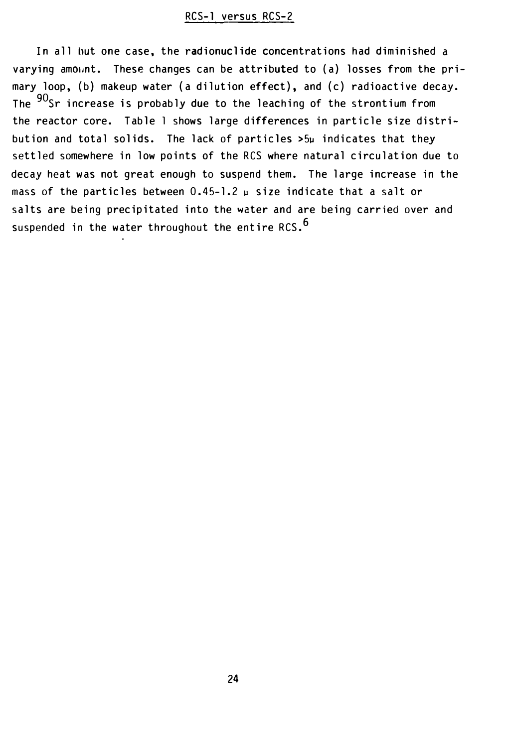# RCS-1 versus RCS-2

In all hut one case, the radionuclide concentrations had diminished a varying am011nt. These changes can be attributed to (a) losses from the primary loop, (b) makeup water (a dilution effect), and (c) radioactive decay. The  $90$ Sr increase is probably due to the leaching of the strontium from the reactor core. Table 1 shows large differences in particle size distribution and total solids. The lack of particles >5� indicates that they settled somewhere in low points of the RCS where natural circulation due to decay heat was not great enough to suspend them. The large increase in the mass of the particles between  $0.45$ -1.2  $\mu$  size indicate that a salt or salts are being precipitated into the water and are being carried over and suspended in the water throughout the entire RCS.  $6$